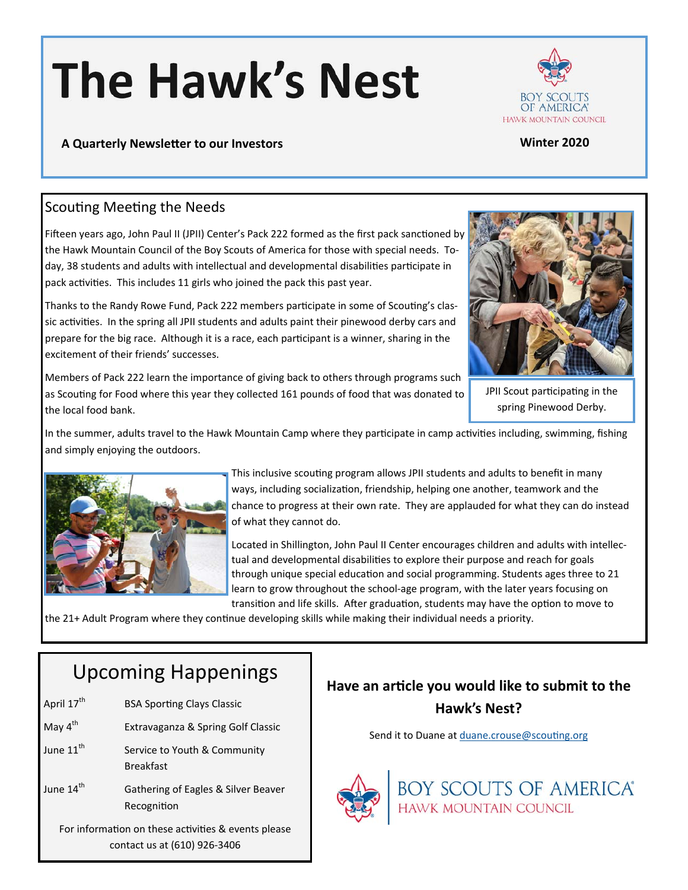# **The Hawk's Nest**



#### **A Quarterly NewsleƩer to our Investors Winter 2020**

#### Scouting Meeting the Needs

Fifteen years ago, John Paul II (JPII) Center's Pack 222 formed as the first pack sanctioned by the Hawk Mountain Council of the Boy Scouts of America for those with special needs. Today, 38 students and adults with intellectual and developmental disabilities participate in pack activities. This includes 11 girls who joined the pack this past year.

Thanks to the Randy Rowe Fund, Pack 222 members participate in some of Scouting's classic activities. In the spring all JPII students and adults paint their pinewood derby cars and prepare for the big race. Although it is a race, each participant is a winner, sharing in the excitement of their friends' successes.

Members of Pack 222 learn the importance of giving back to others through programs such as Scouting for Food where this year they collected 161 pounds of food that was donated to the local food bank.



JPII Scout participating in the spring Pinewood Derby.

In the summer, adults travel to the Hawk Mountain Camp where they participate in camp activities including, swimming, fishing and simply enjoying the outdoors.



This inclusive scouting program allows JPII students and adults to benefit in many ways, including socialization, friendship, helping one another, teamwork and the chance to progress at their own rate. They are applauded for what they can do instead of what they cannot do.

Located in Shillington, John Paul II Center encourages children and adults with intellectual and developmental disabilities to explore their purpose and reach for goals through unique special education and social programming. Students ages three to 21 learn to grow throughout the school-age program, with the later years focusing on transition and life skills. After graduation, students may have the option to move to

the 21+ Adult Program where they continue developing skills while making their individual needs a priority.

# Upcoming Happenings

| April 17 <sup>th</sup>                                                              | <b>BSA Sporting Clays Classic</b>                  |
|-------------------------------------------------------------------------------------|----------------------------------------------------|
| May $4^{\text{th}}$                                                                 | Extravaganza & Spring Golf Classic                 |
| June 11 <sup>th</sup>                                                               | Service to Youth & Community<br><b>Breakfast</b>   |
| June $14th$                                                                         | Gathering of Eagles & Silver Beaver<br>Recognition |
| For information on these activities & events please<br>contact us at (610) 926-3406 |                                                    |

# **Have an arƟcle you would like to submit to the Hawk's Nest?**

Send it to Duane at duane.crouse@scouting.org